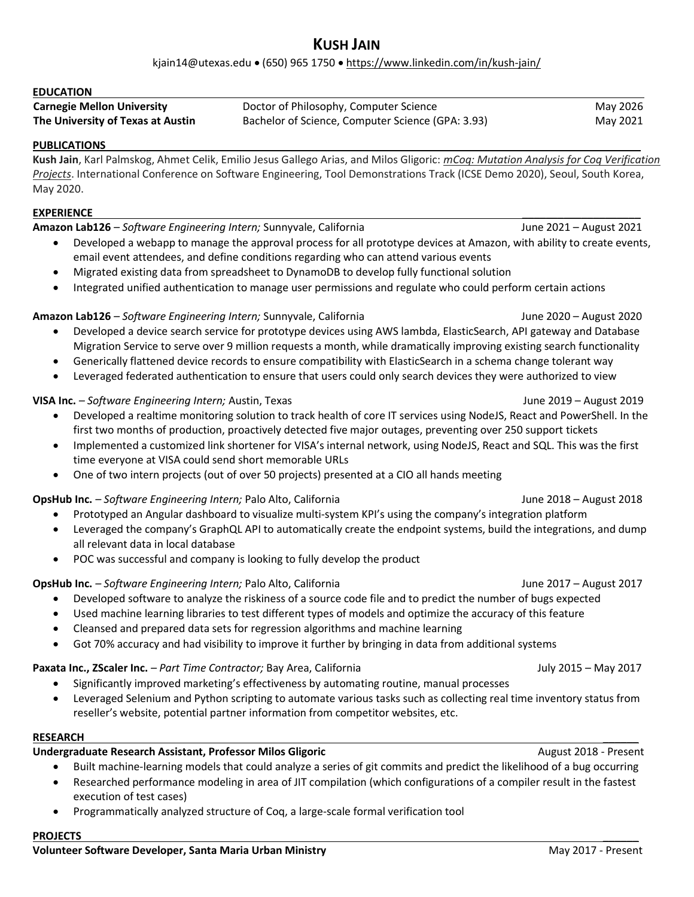# KUSH JAIN

kjain14@utexas.edu • (650) 965 1750 • https://www.linkedin.com/in/kush-jain/

| <b>EDUCATION</b>                  |                                                   |          |
|-----------------------------------|---------------------------------------------------|----------|
| <b>Carnegie Mellon University</b> | Doctor of Philosophy, Computer Science            | May 2026 |
| The University of Texas at Austin | Bachelor of Science, Computer Science (GPA: 3.93) | May 2021 |

#### PUBLICATIONS

Kush Jain, Karl Palmskog, Ahmet Celik, Emilio Jesus Gallego Arias, and Milos Gligoric: mCoq: Mutation Analysis for Coq Verification Projects. International Conference on Software Engineering, Tool Demonstrations Track (ICSE Demo 2020), Seoul, South Korea, May 2020.

### $\tt EXPERIENCE$

Amazon Lab126 – Software Engineering Intern; Sunnyvale, California and June 2021 – August 2021

- Developed a webapp to manage the approval process for all prototype devices at Amazon, with ability to create events, email event attendees, and define conditions regarding who can attend various events
- Migrated existing data from spreadsheet to DynamoDB to develop fully functional solution
- Integrated unified authentication to manage user permissions and regulate who could perform certain actions

#### Amazon Lab126 – Software Engineering Intern; Sunnyvale, California June 2020 – August 2020 – August 2020

- Developed a device search service for prototype devices using AWS lambda, ElasticSearch, API gateway and Database Migration Service to serve over 9 million requests a month, while dramatically improving existing search functionality
- Generically flattened device records to ensure compatibility with ElasticSearch in a schema change tolerant way
- Leveraged federated authentication to ensure that users could only search devices they were authorized to view

## VISA Inc. – Software Engineering Intern; Austin, Texas June 2019 – August 2019 – August 2019

- Developed a realtime monitoring solution to track health of core IT services using NodeJS, React and PowerShell. In the first two months of production, proactively detected five major outages, preventing over 250 support tickets
- Implemented a customized link shortener for VISA's internal network, using NodeJS, React and SQL. This was the first time everyone at VISA could send short memorable URLs
- One of two intern projects (out of over 50 projects) presented at a CIO all hands meeting

#### OpsHub Inc. – Software Engineering Intern; Palo Alto, California June 2018 – August 2018 – August 2018

- Prototyped an Angular dashboard to visualize multi-system KPI's using the company's integration platform
- Leveraged the company's GraphQL API to automatically create the endpoint systems, build the integrations, and dump all relevant data in local database
- POC was successful and company is looking to fully develop the product

## OpsHub Inc. – Software Engineering Intern; Palo Alto, California June 2017 – August 2017

- Developed software to analyze the riskiness of a source code file and to predict the number of bugs expected
- Used machine learning libraries to test different types of models and optimize the accuracy of this feature
- Cleansed and prepared data sets for regression algorithms and machine learning
- Got 70% accuracy and had visibility to improve it further by bringing in data from additional systems

## Paxata Inc., ZScaler Inc. – Part Time Contractor; Bay Area, California July 2015 – May 2017 (July 2015 – May 2017

- Significantly improved marketing's effectiveness by automating routine, manual processes
- Leveraged Selenium and Python scripting to automate various tasks such as collecting real time inventory status from reseller's website, potential partner information from competitor websites, etc.

#### RESEARCH \_\_\_\_\_\_

## Undergraduate Research Assistant, Professor Milos Gligoric **August 2018** - Present

- Built machine-learning models that could analyze a series of git commits and predict the likelihood of a bug occurring
- Researched performance modeling in area of JIT compilation (which configurations of a compiler result in the fastest execution of test cases)
- Programmatically analyzed structure of Coq, a large-scale formal verification tool

#### PROJECTS \_\_\_\_\_\_